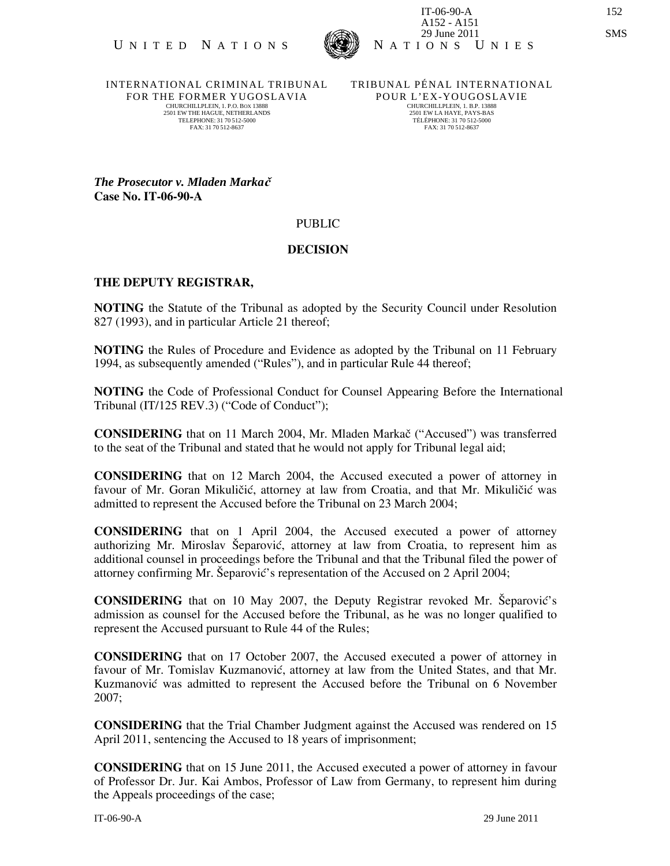

INTERNATIONAL CRIMINAL TRIBUNAL FOR THE FORMER YUGOSLAVIA CHURCHILLPLEIN, 1. P.O. BOX 13888 2501 EW THE HAGUE, NETHERLANDS TELEPHONE: 31 70 512-5000 FAX: 31 70 512-8637

TRIBUNAL PÉNAL INTERNATIONAL POUR L'EX-YOUGOS LAVIE CHURCHILLPLEIN, 1, B.P. 13888 2501 EW LA HAYE, PAYS-BAS TÉLÉPHONE: 31 70 512-5000 FAX: 31 70 512-8637

*The Prosecutor v. Mladen Marka* $\check{c}$ Case No. IT-06-90-A

## PUBLIC

## DECISION

## THE DEPUTY REGISTRAR,

NOTING the Statute of the Tribunal as adopted by the Security Council under Resolution 827 (1993), and in particular Article 21 thereof;

NOTING the Rules of Procedure and Evidence as adopted by the Tribunal on 11 February 1994, as subsequently amended ("Rules"), and in particular Rule 44 thereof;

NOTING the Code of Professional Conduct for Counsel Appearing Before the International Tribunal (IT/125 REV.3) ("Code of Conduct");

CONSIDERING that on 11 March 2004, Mr. Mladen Markač ("Accused") was transferred to the seat of the Tribunal and stated that he would not apply for Tribunal legal aid;

CONSIDERING that on 12 March 2004, the Accused executed a power of attorney in favour of Mr. Goran Mikuličić, attorney at law from Croatia, and that Mr. Mikuličić was admitted to represent the Accused before the Tribunal on 23 March 2004;

CONSIDERING that on 1 April 2004, the Accused executed a power of attorney authorizing Mr. Miroslav Šeparović, attorney at law from Croatia, to represent him as additional counsel in proceedings before the Tribunal and that the Tribunal filed the power of attorney confirming Mr. Separović's representation of the Accused on 2 April 2004;

CONSIDERING that on 10 May 2007, the Deputy Registrar revoked Mr. Šeparović's admission as counsel for the Accused before the Tribunal, as he was no longer qualified to represent the Accused pursuant to Rule 44 of the Rules;

CONSIDERING that on 17 October 2007, the Accused executed a power of attorney in favour of Mr. Tomislav Kuzmanović, attorney at law from the United States, and that Mr. Kuzmanović was admitted to represent the Accused before the Tribunal on 6 November 2007;

CONSIDERING that the Trial Chamber Judgment against the Accused was rendered on 15 April 2011, sentencing the Accused to 18 years of imprisonment;

CONSIDERING that on 15 June 2011, the Accused executed a power of attorney in favour of Professor Dr. Jur. Kai Ambos, Professor of Law from Germany, to represent him during the Appeals proceedings of the case;